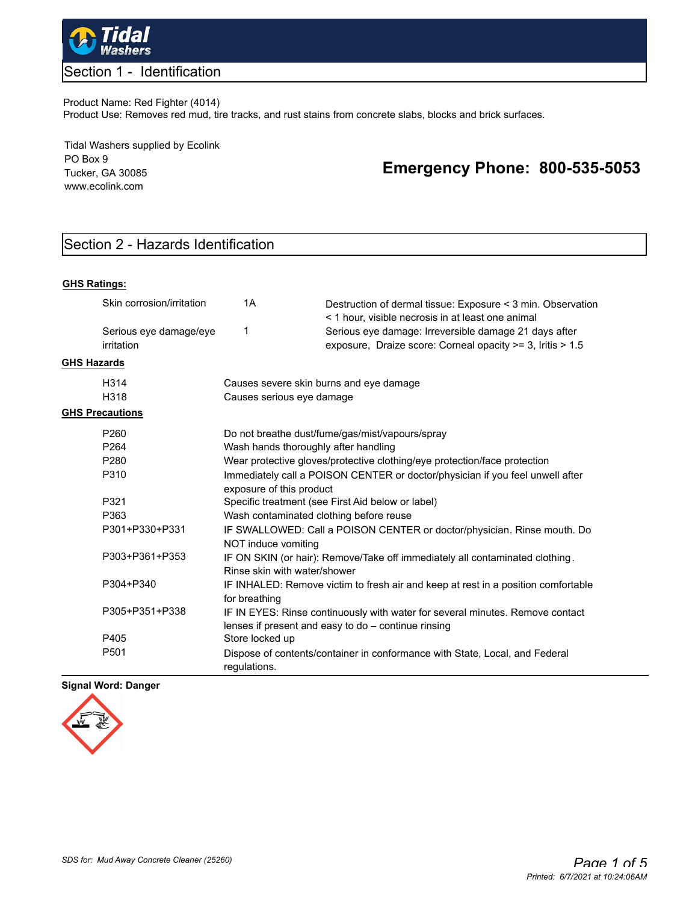

# Section 1 - Identification

### Product Name: Red Fighter (4014) Product Use: Removes red mud, tire tracks, and rust stains from concrete slabs, blocks and brick surfaces.

Tidal Washers supplied by Ecolink PO Box 9 Tucker, GA 30085 www.ecolink.com

# **Emergency Phone: 800-535-5053**

# Section 2 - Hazards Identification

#### **GHS Ratings:**

|                    | Skin corrosion/irritation                       | 1A                                                                                                                | Destruction of dermal tissue: Exposure < 3 min. Observation<br>< 1 hour, visible necrosis in at least one animal                     |  |  |  |
|--------------------|-------------------------------------------------|-------------------------------------------------------------------------------------------------------------------|--------------------------------------------------------------------------------------------------------------------------------------|--|--|--|
|                    | Serious eye damage/eye<br>irritation            | 1                                                                                                                 | Serious eye damage: Irreversible damage 21 days after<br>exposure, Draize score: Corneal opacity >= 3, Iritis > 1.5                  |  |  |  |
| <b>GHS Hazards</b> |                                                 |                                                                                                                   |                                                                                                                                      |  |  |  |
|                    | H <sub>3</sub> 14                               |                                                                                                                   | Causes severe skin burns and eye damage                                                                                              |  |  |  |
|                    | H318                                            | Causes serious eye damage                                                                                         |                                                                                                                                      |  |  |  |
|                    | <b>GHS Precautions</b>                          |                                                                                                                   |                                                                                                                                      |  |  |  |
|                    | P <sub>260</sub>                                | Do not breathe dust/fume/gas/mist/vapours/spray                                                                   |                                                                                                                                      |  |  |  |
|                    | P <sub>264</sub>                                | Wash hands thoroughly after handling<br>Wear protective gloves/protective clothing/eye protection/face protection |                                                                                                                                      |  |  |  |
|                    | P280                                            |                                                                                                                   |                                                                                                                                      |  |  |  |
|                    | P310                                            | Immediately call a POISON CENTER or doctor/physician if you feel unwell after<br>exposure of this product         |                                                                                                                                      |  |  |  |
|                    | P321                                            | Specific treatment (see First Aid below or label)                                                                 |                                                                                                                                      |  |  |  |
|                    | P363<br>Wash contaminated clothing before reuse |                                                                                                                   |                                                                                                                                      |  |  |  |
|                    | P301+P330+P331                                  | IF SWALLOWED: Call a POISON CENTER or doctor/physician. Rinse mouth. Do<br>NOT induce vomiting                    |                                                                                                                                      |  |  |  |
|                    | P303+P361+P353                                  | IF ON SKIN (or hair): Remove/Take off immediately all contaminated clothing.<br>Rinse skin with water/shower      |                                                                                                                                      |  |  |  |
|                    | P304+P340                                       | for breathing                                                                                                     | IF INHALED: Remove victim to fresh air and keep at rest in a position comfortable                                                    |  |  |  |
|                    | P305+P351+P338                                  |                                                                                                                   | IF IN EYES: Rinse continuously with water for several minutes. Remove contact<br>lenses if present and easy to do - continue rinsing |  |  |  |
|                    | P405                                            | Store locked up                                                                                                   |                                                                                                                                      |  |  |  |
|                    | P <sub>501</sub>                                | regulations.                                                                                                      | Dispose of contents/container in conformance with State, Local, and Federal                                                          |  |  |  |

### **Signal Word: Danger**

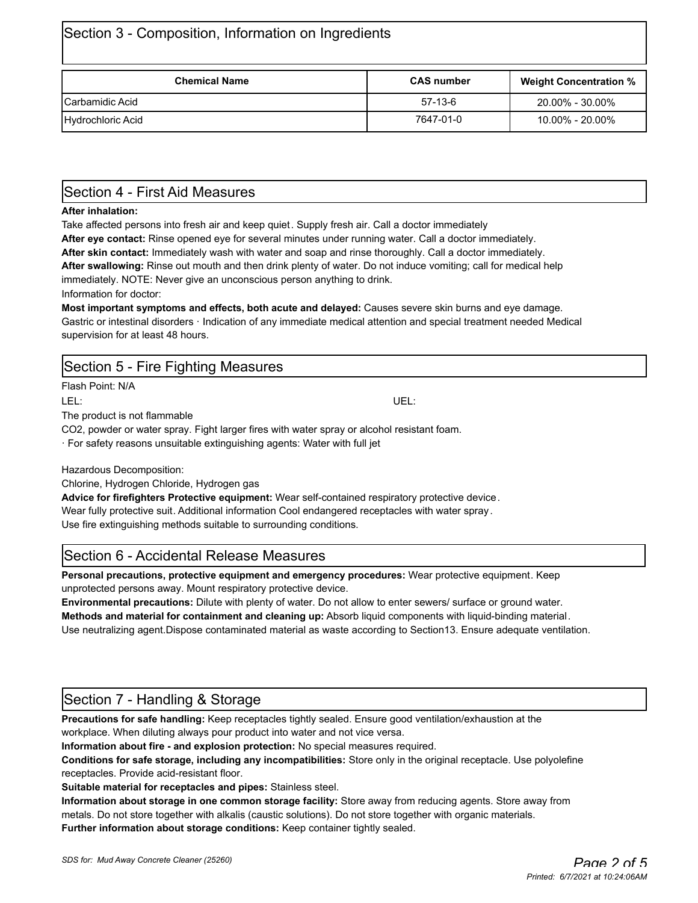| <b>Chemical Name</b>    | <b>CAS number</b> | <b>Weight Concentration %</b> |
|-------------------------|-------------------|-------------------------------|
| <b>ICarbamidic Acid</b> | $57-13-6$         | 20.00% - 30.00%               |
| Hydrochloric Acid       | 7647-01-0         | 10.00% - 20.00%               |

### **After inhalation:**

Take affected persons into fresh air and keep quiet. Supply fresh air. Call a doctor immediately

**After eye contact:** Rinse opened eye for several minutes under running water. Call a doctor immediately.

**After skin contact:** Immediately wash with water and soap and rinse thoroughly. Call a doctor immediately.

**After swallowing:** Rinse out mouth and then drink plenty of water. Do not induce vomiting; call for medical help immediately. NOTE: Never give an unconscious person anything to drink.

Information for doctor:

**Most important symptoms and effects, both acute and delayed:** Causes severe skin burns and eye damage. Gastric or intestinal disorders · Indication of any immediate medical attention and special treatment needed Medical supervision for at least 48 hours.

# Section 5 - Fire Fighting Measures Flash Point: N/A

LEL: UEL:

The product is not flammable

CO2, powder or water spray. Fight larger fires with water spray or alcohol resistant foam.

· For safety reasons unsuitable extinguishing agents: Water with full jet

Hazardous Decomposition:

Chlorine, Hydrogen Chloride, Hydrogen gas

**Advice for firefighters Protective equipment:** Wear self-contained respiratory protective device. Wear fully protective suit. Additional information Cool endangered receptacles with water spray . Use fire extinguishing methods suitable to surrounding conditions.

# Section 6 - Accidental Release Measures

**Personal precautions, protective equipment and emergency procedures:** Wear protective equipment. Keep unprotected persons away. Mount respiratory protective device.

**Environmental precautions:** Dilute with plenty of water. Do not allow to enter sewers/ surface or ground water. **Methods and material for containment and cleaning up:** Absorb liquid components with liquid-binding material.

Use neutralizing agent.Dispose contaminated material as waste according to Section13. Ensure adequate ventilation.

# Section 7 - Handling & Storage

**Precautions for safe handling:** Keep receptacles tightly sealed. Ensure good ventilation/exhaustion at the workplace. When diluting always pour product into water and not vice versa.

**Information about fire - and explosion protection:** No special measures required.

**Conditions for safe storage, including any incompatibilities:** Store only in the original receptacle. Use polyolefine receptacles. Provide acid-resistant floor.

**Suitable material for receptacles and pipes:** Stainless steel.

**Information about storage in one common storage facility:** Store away from reducing agents. Store away from metals. Do not store together with alkalis (caustic solutions). Do not store together with organic materials. **Further information about storage conditions:** Keep container tightly sealed.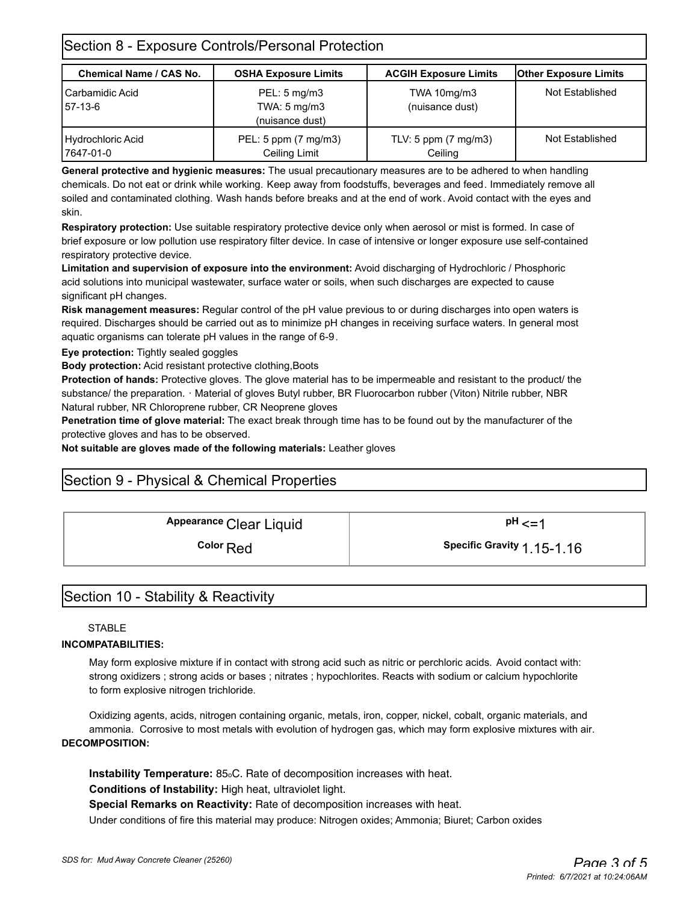# Section 8 - Exposure Controls/Personal Protection

| <b>Chemical Name / CAS No.</b>         | <b>OSHA Exposure Limits</b>                     | <b>ACGIH Exposure Limits</b>              | <b>Other Exposure Limits</b> |
|----------------------------------------|-------------------------------------------------|-------------------------------------------|------------------------------|
| <b>l</b> Carbamidic Acid<br>$157-13-6$ | PEL: 5 mg/m3<br>TWA: 5 mg/m3<br>(nuisance dust) | TWA 10mg/m3<br>(nuisance dust)            | Not Established              |
| Hydrochloric Acid<br>7647-01-0         | PEL: 5 ppm (7 mg/m3)<br>Ceiling Limit           | TLV: 5 ppm $(7 \text{ mg/m3})$<br>Ceiling | Not Established              |

**General protective and hygienic measures:** The usual precautionary measures are to be adhered to when handling chemicals. Do not eat or drink while working. Keep away from foodstuffs, beverages and feed. Immediately remove all soiled and contaminated clothing. Wash hands before breaks and at the end of work. Avoid contact with the eyes and skin.

**Respiratory protection:** Use suitable respiratory protective device only when aerosol or mist is formed. In case of brief exposure or low pollution use respiratory filter device. In case of intensive or longer exposure use self-contained respiratory protective device.

**Limitation and supervision of exposure into the environment:** Avoid discharging of Hydrochloric / Phosphoric acid solutions into municipal wastewater, surface water or soils, when such discharges are expected to cause significant pH changes.

**Risk management measures:** Regular control of the pH value previous to or during discharges into open waters is required. Discharges should be carried out as to minimize pH changes in receiving surface waters. In general most aquatic organisms can tolerate pH values in the range of 6-9.

**Eye protection:** Tightly sealed goggles

**Body protection:** Acid resistant protective clothing,Boots

**Protection of hands:** Protective gloves. The glove material has to be impermeable and resistant to the product/ the substance/ the preparation. · Material of gloves Butyl rubber, BR Fluorocarbon rubber (Viton) Nitrile rubber, NBR Natural rubber, NR Chloroprene rubber, CR Neoprene gloves

**Penetration time of glove material:** The exact break through time has to be found out by the manufacturer of the protective gloves and has to be observed.

**Not suitable are gloves made of the following materials:** Leather gloves

# Section 9 - Physical & Chemical Properties

Appearance Clear Liquid  $P$ <sup>H</sup> <=1

**Color** Red **Color Red Color Red Color Red Color Red Color Color Color Color Color Color Color Color Color Color Color Color Color Color Color Color Color Color Color Color C** 

### Section 10 - Stability & Reactivity

### STABLE

### **INCOMPATABILITIES:**

May form explosive mixture if in contact with strong acid such as nitric or perchloric acids. Avoid contact with: strong oxidizers ; strong acids or bases ; nitrates ; hypochlorites. Reacts with sodium or calcium hypochlorite to form explosive nitrogen trichloride.

Oxidizing agents, acids, nitrogen containing organic, metals, iron, copper, nickel, cobalt, organic materials, and ammonia. Corrosive to most metals with evolution of hydrogen gas, which may form explosive mixtures with air. **DECOMPOSITION:**

**Instability Temperature: 85.C. Rate of decomposition increases with heat.** 

**Conditions of Instability:** High heat, ultraviolet light.

**Special Remarks on Reactivity:** Rate of decomposition increases with heat.

Under conditions of fire this material may produce: Nitrogen oxides; Ammonia; Biuret; Carbon oxides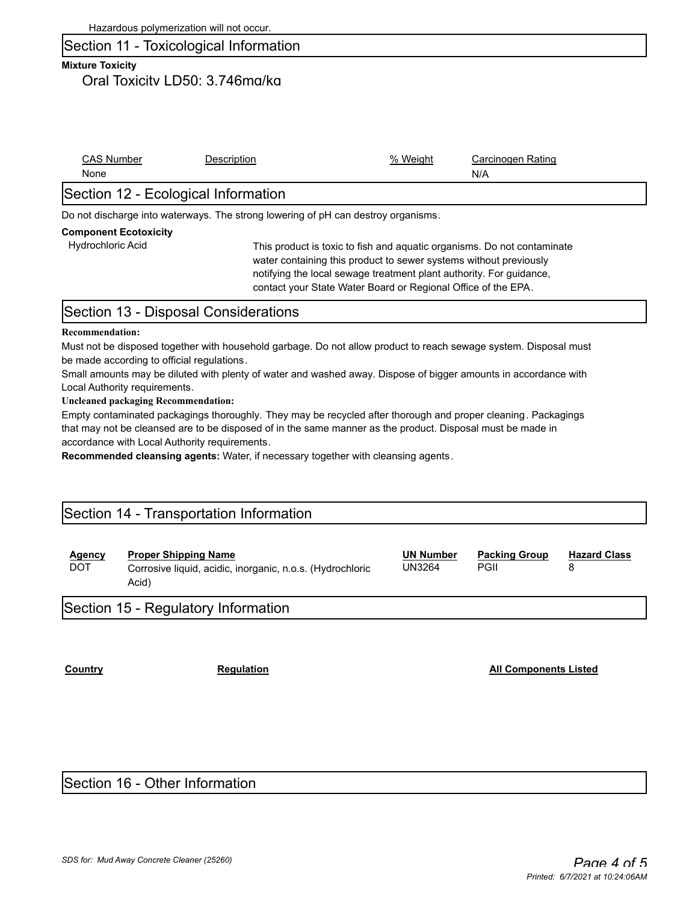### Section 11 - Toxicological Information

### **Mixture Toxicity**

### Oral Toxicity LD50: 3,746mg/kg

| <b>CAS Number</b>                                                                                                            | Description | % Weight | Carcinogen Rating |  |
|------------------------------------------------------------------------------------------------------------------------------|-------------|----------|-------------------|--|
| None                                                                                                                         |             |          | N/A               |  |
| Section 12 - Ecological Information                                                                                          |             |          |                   |  |
| Do not discharge into waterways. The strong lowering of pH can destroy organisms.                                            |             |          |                   |  |
| <b>Component Ecotoxicity</b><br>Hydrochloric Acid<br>This product is toxic to fish and aquatic organisms. Do not contaminate |             |          |                   |  |

water containing this product to sewer systems without previously notifying the local sewage treatment plant authority. For guidance, contact your State Water Board or Regional Office of the EPA.

## Section 13 - Disposal Considerations

#### **Recommendation:**

Must not be disposed together with household garbage. Do not allow product to reach sewage system. Disposal must be made according to official regulations.

Small amounts may be diluted with plenty of water and washed away. Dispose of bigger amounts in accordance with Local Authority requirements.

#### **Uncleaned packaging Recommendation:**

Empty contaminated packagings thoroughly. They may be recycled after thorough and proper cleaning. Packagings that may not be cleansed are to be disposed of in the same manner as the product. Disposal must be made in accordance with Local Authority requirements.

**Recommended cleansing agents:** Water, if necessary together with cleansing agents.

### Section 14 - Transportation Information

| Acid) | Agency<br><b>DOT</b> | <b>Proper Shipping Name</b><br>Corrosive liquid, acidic, inorganic, n.o.s. (Hydrochloric | <b>UN Number</b><br>UN3264 | <b>Packing Group</b><br>PGII | <b>Hazard Class</b> |
|-------|----------------------|------------------------------------------------------------------------------------------|----------------------------|------------------------------|---------------------|
|-------|----------------------|------------------------------------------------------------------------------------------|----------------------------|------------------------------|---------------------|

### Section 15 - Regulatory Information

**Country Country Regulation Regulation Regulation Regulation Regulation Regulation Regulation Regulation Regulation Regulation Regulation Regulation Regulation Regulation Regulation Regulation Regulation Regulation Regulat** 

Section 16 - Other Information